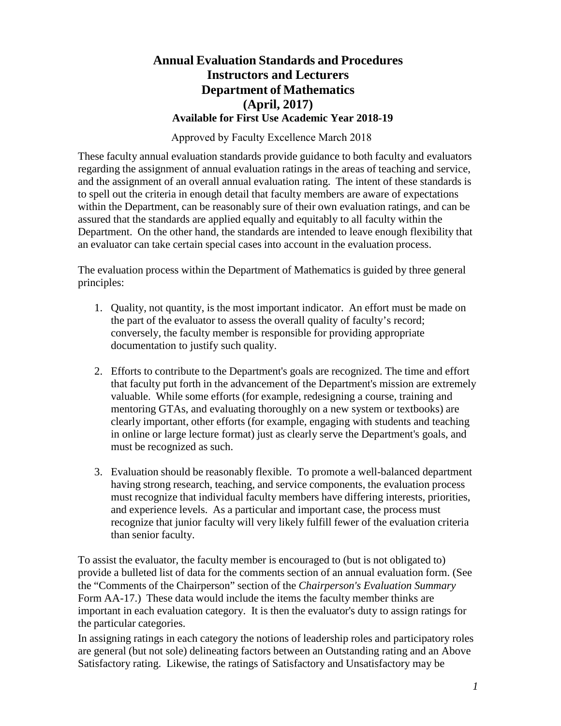# **Annual Evaluation Standards and Procedures Instructors and Lecturers Department of Mathematics (April, 2017) Available for First Use Academic Year 2018-19**

Approved by Faculty Excellence March 2018

These faculty annual evaluation standards provide guidance to both faculty and evaluators regarding the assignment of annual evaluation ratings in the areas of teaching and service, and the assignment of an overall annual evaluation rating. The intent of these standards is to spell out the criteria in enough detail that faculty members are aware of expectations within the Department, can be reasonably sure of their own evaluation ratings, and can be assured that the standards are applied equally and equitably to all faculty within the Department. On the other hand, the standards are intended to leave enough flexibility that an evaluator can take certain special cases into account in the evaluation process.

The evaluation process within the Department of Mathematics is guided by three general principles:

- 1. Quality, not quantity, is the most important indicator. An effort must be made on the part of the evaluator to assess the overall quality of faculty's record; conversely, the faculty member is responsible for providing appropriate documentation to justify such quality.
- 2. Efforts to contribute to the Department's goals are recognized. The time and effort that faculty put forth in the advancement of the Department's mission are extremely valuable. While some efforts (for example, redesigning a course, training and mentoring GTAs, and evaluating thoroughly on a new system or textbooks) are clearly important, other efforts (for example, engaging with students and teaching in online or large lecture format) just as clearly serve the Department's goals, and must be recognized as such.
- 3. Evaluation should be reasonably flexible. To promote a well-balanced department having strong research, teaching, and service components, the evaluation process must recognize that individual faculty members have differing interests, priorities, and experience levels. As a particular and important case, the process must recognize that junior faculty will very likely fulfill fewer of the evaluation criteria than senior faculty.

To assist the evaluator, the faculty member is encouraged to (but is not obligated to) provide a bulleted list of data for the comments section of an annual evaluation form. (See the "Comments of the Chairperson" section of the *Chairperson's Evaluation Summary*  Form AA-17.) These data would include the items the faculty member thinks are important in each evaluation category. It is then the evaluator's duty to assign ratings for the particular categories.

In assigning ratings in each category the notions of leadership roles and participatory roles are general (but not sole) delineating factors between an Outstanding rating and an Above Satisfactory rating. Likewise, the ratings of Satisfactory and Unsatisfactory may be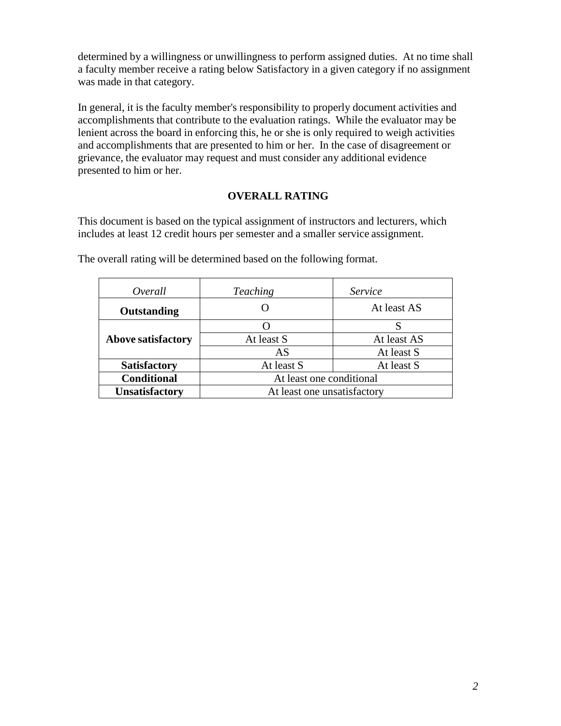determined by a willingness or unwillingness to perform assigned duties. At no time shall a faculty member receive a rating below Satisfactory in a given category if no assignment was made in that category.

In general, it is the faculty member's responsibility to properly document activities and accomplishments that contribute to the evaluation ratings. While the evaluator may be lenient across the board in enforcing this, he or she is only required to weigh activities and accomplishments that are presented to him or her. In the case of disagreement or grievance, the evaluator may request and must consider any additional evidence presented to him or her.

## **OVERALL RATING**

This document is based on the typical assignment of instructors and lecturers, which includes at least 12 credit hours per semester and a smaller service assignment.

| Overall                   | <b>Teaching</b>             | Service     |
|---------------------------|-----------------------------|-------------|
| Outstanding               |                             | At least AS |
|                           |                             |             |
| <b>Above satisfactory</b> | At least S                  | At least AS |
|                           | AS                          | At least S  |
| <b>Satisfactory</b>       | At least S                  | At least S  |
| <b>Conditional</b>        | At least one conditional    |             |
| <b>Unsatisfactory</b>     | At least one unsatisfactory |             |

The overall rating will be determined based on the following format.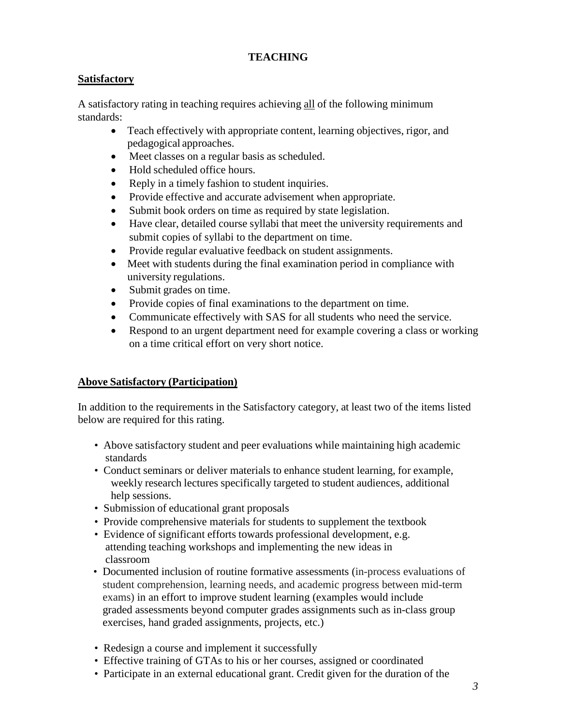## **TEACHING**

## **Satisfactory**

A satisfactory rating in teaching requires achieving all of the following minimum standards:

- Teach effectively with appropriate content, learning objectives, rigor, and pedagogical approaches.
- Meet classes on a regular basis as scheduled.
- Hold scheduled office hours.
- Reply in a timely fashion to student inquiries.
- Provide effective and accurate advisement when appropriate.
- Submit book orders on time as required by state legislation.
- Have clear, detailed course syllabi that meet the university requirements and submit copies of syllabi to the department on time.
- Provide regular evaluative feedback on student assignments.
- Meet with students during the final examination period in compliance with university regulations.
- Submit grades on time.
- Provide copies of final examinations to the department on time.
- Communicate effectively with SAS for all students who need the service.
- Respond to an urgent department need for example covering a class or working on a time critical effort on very short notice.

## **Above Satisfactory (Participation)**

In addition to the requirements in the Satisfactory category, at least two of the items listed below are required for this rating.

- Above satisfactory student and peer evaluations while maintaining high academic standards
- Conduct seminars or deliver materials to enhance student learning, for example, weekly research lectures specifically targeted to student audiences, additional help sessions.
- Submission of educational grant proposals
- Provide comprehensive materials for students to supplement the textbook
- Evidence of significant efforts towards professional development, e.g. attending teaching workshops and implementing the new ideas in classroom
- Documented inclusion of routine formative assessments (in-process evaluations of student comprehension, learning needs, and academic progress between mid-term exams) in an effort to improve student learning (examples would include graded assessments beyond computer grades assignments such as in-class group exercises, hand graded assignments, projects, etc.)
- Redesign a course and implement it successfully
- Effective training of GTAs to his or her courses, assigned or coordinated
- Participate in an external educational grant. Credit given for the duration of the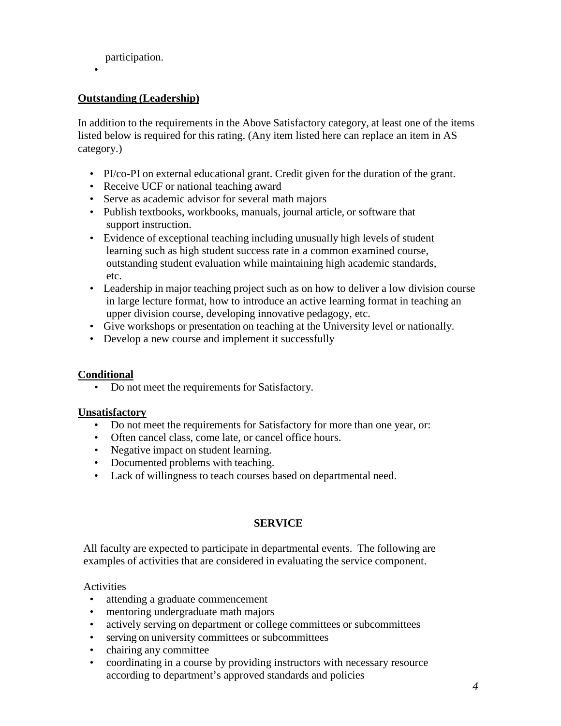participation.

•

## **Outstanding (Leadership)**

In addition to the requirements in the Above Satisfactory category, at least one of the items listed below is required for this rating. (Any item listed here can replace an item in AS category.)

- PI/co-PI on external educational grant. Credit given for the duration of the grant.
- Receive UCF or national teaching award
- Serve as academic advisor for several math majors
- Publish textbooks, workbooks, manuals, journal article, or software that support instruction.
- Evidence of exceptional teaching including unusually high levels of student learning such as high student success rate in a common examined course, outstanding student evaluation while maintaining high academic standards, etc.
- Leadership in major teaching project such as on how to deliver a low division course in large lecture format, how to introduce an active learning format in teaching an upper division course, developing innovative pedagogy, etc.
- Give workshops or presentation on teaching at the University level or nationally.
- Develop a new course and implement it successfully

### **Conditional**

• Do not meet the requirements for Satisfactory.

#### **Unsatisfactory**

- Do not meet the requirements for Satisfactory for more than one year, or:
- Often cancel class, come late, or cancel office hours.
- Negative impact on student learning.
- Documented problems with teaching.
- Lack of willingness to teach courses based on departmental need.

#### **SERVICE**

All faculty are expected to participate in departmental events. The following are examples of activities that are considered in evaluating the service component.

### Activities

- attending a graduate commencement
- mentoring undergraduate math majors
- actively serving on department or college committees or subcommittees
- serving on university committees or subcommittees
- chairing any committee
- coordinating in a course by providing instructors with necessary resource according to department's approved standards and policies